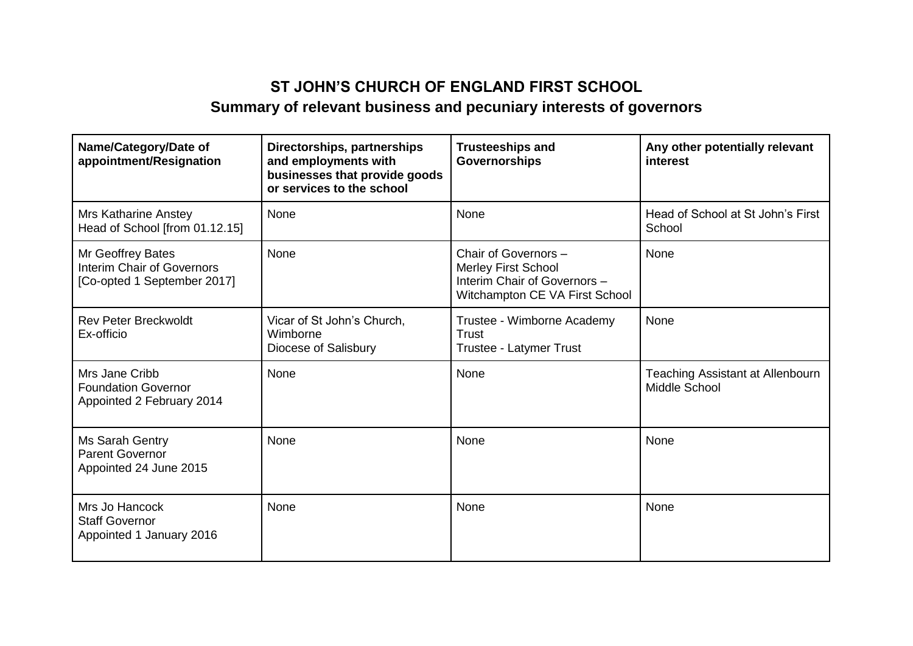## **ST JOHN'S CHURCH OF ENGLAND FIRST SCHOOL Summary of relevant business and pecuniary interests of governors**

| Name/Category/Date of<br>appointment/Resignation                                      | Directorships, partnerships<br>and employments with<br>businesses that provide goods<br>or services to the school | <b>Trusteeships and</b><br>Governorships                                                                             | Any other potentially relevant<br>interest               |
|---------------------------------------------------------------------------------------|-------------------------------------------------------------------------------------------------------------------|----------------------------------------------------------------------------------------------------------------------|----------------------------------------------------------|
| <b>Mrs Katharine Anstey</b><br>Head of School [from 01.12.15]                         | None                                                                                                              | None                                                                                                                 | Head of School at St John's First<br>School              |
| Mr Geoffrey Bates<br><b>Interim Chair of Governors</b><br>[Co-opted 1 September 2017] | None                                                                                                              | Chair of Governors -<br><b>Merley First School</b><br>Interim Chair of Governors -<br>Witchampton CE VA First School | None                                                     |
| <b>Rev Peter Breckwoldt</b><br>Ex-officio                                             | Vicar of St John's Church,<br>Wimborne<br>Diocese of Salisbury                                                    | Trustee - Wimborne Academy<br>Trust<br>Trustee - Latymer Trust                                                       | None                                                     |
| Mrs Jane Cribb<br><b>Foundation Governor</b><br>Appointed 2 February 2014             | None                                                                                                              | None                                                                                                                 | Teaching Assistant at Allenbourn<br><b>Middle School</b> |
| Ms Sarah Gentry<br><b>Parent Governor</b><br>Appointed 24 June 2015                   | None                                                                                                              | None                                                                                                                 | None                                                     |
| Mrs Jo Hancock<br><b>Staff Governor</b><br>Appointed 1 January 2016                   | None                                                                                                              | None                                                                                                                 | None                                                     |